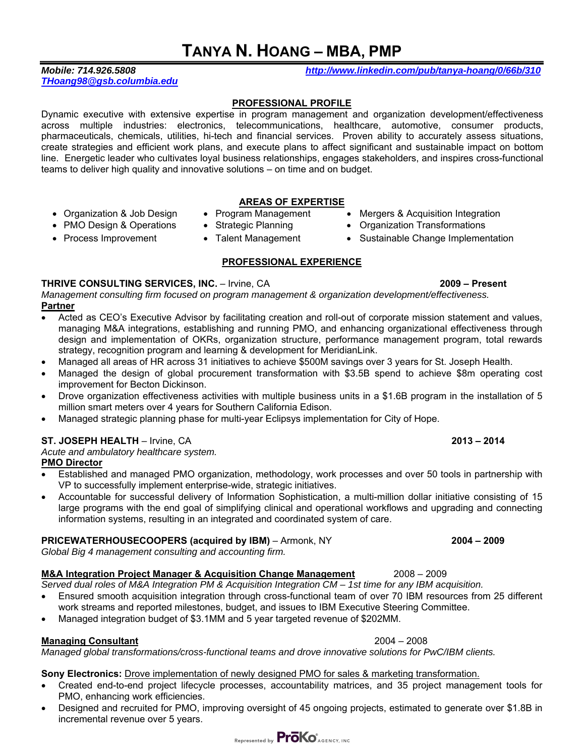# **TANYA N. HOANG – MBA, PMP**

# *THoang98@gsb.columbia.edu*

*Mobile: 714.926.5808 http://www.linkedin.com/pub/tanya-hoang/0/66b/310*

## **PROFESSIONAL PROFILE**

Dynamic executive with extensive expertise in program management and organization development/effectiveness across multiple industries: electronics, telecommunications, healthcare, automotive, consumer products, pharmaceuticals, chemicals, utilities, hi-tech and financial services. Proven ability to accurately assess situations, create strategies and efficient work plans, and execute plans to affect significant and sustainable impact on bottom line. Energetic leader who cultivates loyal business relationships, engages stakeholders, and inspires cross-functional teams to deliver high quality and innovative solutions – on time and on budget.

### **AREAS OF EXPERTISE**

- Organization & Job Design Program Management Mergers & Acquisition Integration
- PMO Design & Operations Strategic Planning Organization Transformations
- Process Improvement Talent Management Sustainable Change Implementation
	-

## **PROFESSIONAL EXPERIENCE**

## **THRIVE CONSULTING SERVICES, INC.** – Irvine, CA **2009 – Present**

*Management consulting firm focused on program management & organization development/effectiveness.*  **Partner** 

- Acted as CEO's Executive Advisor by facilitating creation and roll-out of corporate mission statement and values, managing M&A integrations, establishing and running PMO, and enhancing organizational effectiveness through design and implementation of OKRs, organization structure, performance management program, total rewards strategy, recognition program and learning & development for MeridianLink.
- Managed all areas of HR across 31 initiatives to achieve \$500M savings over 3 years for St. Joseph Health.
- Managed the design of global procurement transformation with \$3.5B spend to achieve \$8m operating cost improvement for Becton Dickinson.
- Drove organization effectiveness activities with multiple business units in a \$1.6B program in the installation of 5 million smart meters over 4 years for Southern California Edison.
- Managed strategic planning phase for multi-year Eclipsys implementation for City of Hope.

# **ST. JOSEPH HEALTH** – Irvine, CA **2013 – 2014**

*Acute and ambulatory healthcare system.*

## **PMO Director**

- Established and managed PMO organization, methodology, work processes and over 50 tools in partnership with VP to successfully implement enterprise-wide, strategic initiatives.
- Accountable for successful delivery of Information Sophistication, a multi-million dollar initiative consisting of 15 large programs with the end goal of simplifying clinical and operational workflows and upgrading and connecting information systems, resulting in an integrated and coordinated system of care.

## **PRICEWATERHOUSECOOPERS (acquired by IBM)** – Armonk, NY **2004 – 2009**

*Global Big 4 management consulting and accounting firm.* 

# **M&A Integration Project Manager & Acquisition Change Management** 2008 – 2009

*Served dual roles of M&A Integration PM & Acquisition Integration CM – 1st time for any IBM acquisition.* 

- Ensured smooth acquisition integration through cross-functional team of over 70 IBM resources from 25 different work streams and reported milestones, budget, and issues to IBM Executive Steering Committee.
- Managed integration budget of \$3.1MM and 5 year targeted revenue of \$202MM.

# **Managing Consultant** 2004 – 2008

*Managed global transformations/cross-functional teams and drove innovative solutions for PwC/IBM clients.* 

# **Sony Electronics:** Drove implementation of newly designed PMO for sales & marketing transformation.

- Created end-to-end project lifecycle processes, accountability matrices, and 35 project management tools for PMO, enhancing work efficiencies.
- Designed and recruited for PMO, improving oversight of 45 ongoing projects, estimated to generate over \$1.8B in incremental revenue over 5 years.